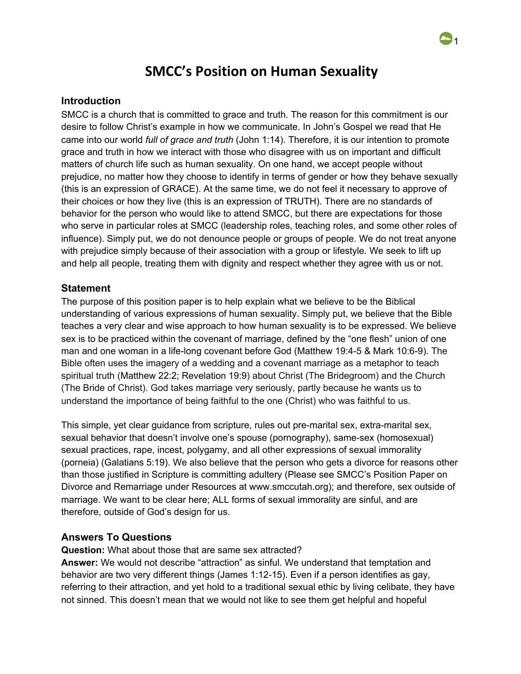# **SMCC's Position on Human Sexuality**

1

#### **Introduction**

SMCC is a church that is committed to grace and truth. The reason for this commitment is our desire to follow Christ's example in how we communicate. In John's Gospel we read that He came into our world *full of grace and truth* (John 1:14). Therefore, it is our intention to promote grace and truth in how we interact with those who disagree with us on important and difficult matters of church life such as human sexuality. On one hand, we accept people without prejudice, no matter how they choose to identify in terms of gender or how they behave sexually (this is an expression of GRACE). At the same time, we do not feel it necessary to approve of their choices or how they live (this is an expression of TRUTH). There are no standards of behavior for the person who would like to attend SMCC, but there are expectations for those who serve in particular roles at SMCC (leadership roles, teaching roles, and some other roles of influence). Simply put, we do not denounce people or groups of people. We do not treat anyone with prejudice simply because of their association with a group or lifestyle. We seek to lift up and help all people, treating them with dignity and respect whether they agree with us or not.

### **Statement**

The purpose of this position paper is to help explain what we believe to be the Biblical understanding of various expressions of human sexuality. Simply put, we believe that the Bible teaches a very clear and wise approach to how human sexuality is to be expressed. We believe sex is to be practiced within the covenant of marriage, defined by the "one flesh" union of one man and one woman in a life-long covenant before God (Matthew 19:4-5 & Mark 10:6-9). The Bible often uses the imagery of a wedding and a covenant marriage as a metaphor to teach spiritual truth ([Matthew](https://biblia.com/bible/esv/Matt%2022.2) 22:2; [Revelation](https://biblia.com/bible/esv/Rev%2019.9) 19:9) about Christ (The Bridegroom) and the Church (The Bride of Christ). God takes marriage very seriously, partly because he wants us to understand the importance of being faithful to the one (Christ) who was faithful to us.

This simple, yet clear guidance from scripture, rules out pre-marital sex, extra-marital sex, sexual behavior that doesn't involve one's spouse (pornography), same-sex (homosexual) sexual practices, rape, incest, polygamy, and all other expressions of sexual immorality (porneia) (Galatians 5:19). We also believe that the person who gets a divorce for reasons other than those justified in Scripture is committing adultery (Please see SMCC's Position Paper on Divorce and Remarriage under Resources at www.smccutah.org); and therefore, sex outside of marriage. We want to be clear here; ALL forms of sexual immorality are sinful, and are therefore, outside of God's design for us.

### **Answers To Questions**

**Question:** What about those that are same sex attracted?

**Answer:** We would not describe "attraction" as sinful. We understand that temptation and behavior are two very different things (James 1:12-15). Even if a person identifies as gay, referring to their attraction, and yet hold to a traditional sexual ethic by living celibate, they have not sinned. This doesn't mean that we would not like to see them get helpful and hopeful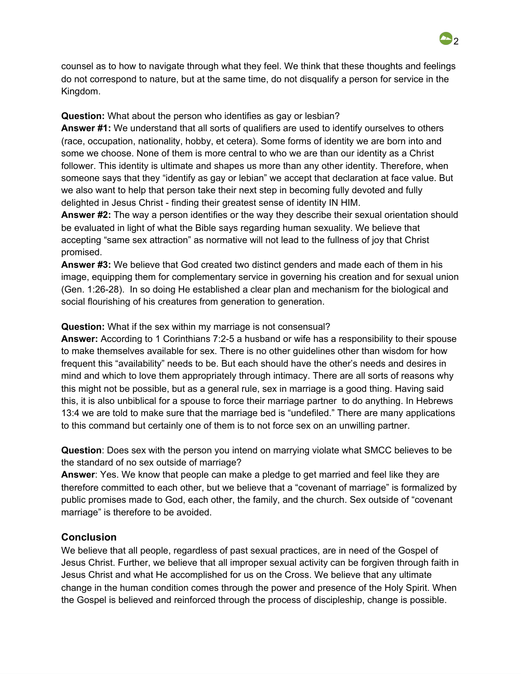counsel as to how to navigate through what they feel. We think that these thoughts and feelings do not correspond to nature, but at the same time, do not disqualify a person for service in the Kingdom.

## **Question:** What about the person who identifies as gay or lesbian?

**Answer #1:** We understand that all sorts of qualifiers are used to identify ourselves to others (race, occupation, nationality, hobby, et cetera). Some forms of identity we are born into and some we choose. None of them is more central to who we are than our identity as a Christ follower. This identity is ultimate and shapes us more than any other identity. Therefore, when someone says that they "identify as gay or lebian" we accept that declaration at face value. But we also want to help that person take their next step in becoming fully devoted and fully delighted in Jesus Christ - finding their greatest sense of identity IN HIM.

**Answer #2:** The way a person identifies or the way they describe their sexual orientation should be evaluated in light of what the Bible says regarding human sexuality. We believe that accepting "same sex attraction" as normative will not lead to the fullness of joy that Christ promised.

**Answer #3:** We believe that God created two distinct genders and made each of them in his image, equipping them for complementary service in governing his creation and for sexual union (Gen. 1:26-28). In so doing He established a clear plan and mechanism for the biological and social flourishing of his creatures from generation to generation.

## **Question:** What if the sex within my marriage is not consensual?

**Answer:** According to 1 Corinthians 7:2-5 a husband or wife has a responsibility to their spouse to make themselves available for sex. There is no other guidelines other than wisdom for how frequent this "availability" needs to be. But each should have the other's needs and desires in mind and which to love them appropriately through intimacy. There are all sorts of reasons why this might not be possible, but as a general rule, sex in marriage is a good thing. Having said this, it is also unbiblical for a spouse to force their marriage partner to do anything. In Hebrews 13:4 we are told to make sure that the marriage bed is "undefiled." There are many applications to this command but certainly one of them is to not force sex on an unwilling partner.

**Question**: Does sex with the person you intend on marrying violate what SMCC believes to be the standard of no sex outside of marriage?

**Answer**: Yes. We know that people can make a pledge to get married and feel like they are therefore committed to each other, but we believe that a "covenant of marriage" is formalized by public promises made to God, each other, the family, and the church. Sex outside of "covenant marriage" is therefore to be avoided.

## **Conclusion**

We believe that all people, regardless of past sexual practices, are in need of the Gospel of Jesus Christ. Further, we believe that all improper sexual activity can be forgiven through faith in Jesus Christ and what He accomplished for us on the Cross. We believe that any ultimate change in the human condition comes through the power and presence of the Holy Spirit. When the Gospel is believed and reinforced through the process of discipleship, change is possible.